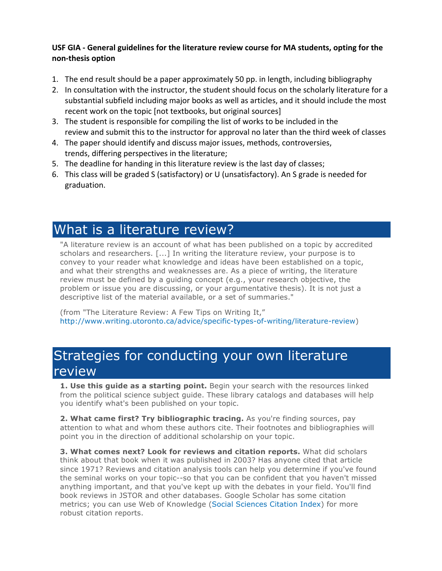## USF GIA - General guidelines for the literature review course for MA students, opting for the **non-thesis option**

- 1. The end result should be a paper approximately 50 pp. in length, including bibliography
- 2. In consultation with the instructor, the student should focus on the scholarly literature for a substantial subfield including major books as well as articles, and it should include the most recent work on the topic [not textbooks, but original sources]
- 3. The student is responsible for compiling the list of works to be included in the review and submit this to the instructor for approval no later than the third week of classes
- 4. The paper should identify and discuss major issues, methods, controversies, trends, differing perspectives in the literature;
- 5. The deadline for handing in this literature review is the last day of classes;
- 6. This class will be graded S (satisfactory) or U (unsatisfactory). An S grade is needed for graduation.

## What is a literature review?

"A literature review is an account of what has been published on a topic by accredited scholars and researchers. [...] In writing the literature review, your purpose is to convey to your reader what knowledge and ideas have been established on a topic, and what their strengths and weaknesses are. As a piece of writing, the literature review must be defined by a guiding concept (e.g., your research objective, the problem or issue you are discussing, or your argumentative thesis). It is not just a descriptive list of the material available, or a set of summaries."

(from "The Literature Review: A Few Tips on Writing It," http://www.writing.utoronto.ca/advice/specific-types-of-writing/literature-review)

## Strategies for conducting your own literature review

**1. Use this guide as a starting point.** Begin your search with the resources linked from the political science subject guide. These library catalogs and databases will help you identify what's been published on your topic.

**2. What came first? Try bibliographic tracing.** As you're finding sources, pay attention to what and whom these authors cite. Their footnotes and bibliographies will point you in the direction of additional scholarship on your topic.

**3. What comes next? Look for reviews and citation reports.** What did scholars think about that book when it was published in 2003? Has anyone cited that article since 1971? Reviews and citation analysis tools can help you determine if you've found the seminal works on your topic--so that you can be confident that you haven't missed anything important, and that you've kept up with the debates in your field. You'll find book reviews in JSTOR and other databases. Google Scholar has some citation metrics; you can use Web of Knowledge (Social Sciences Citation Index) for more robust citation reports.